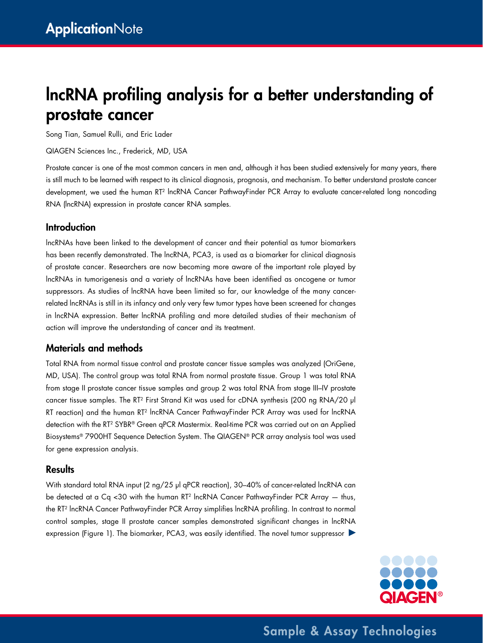# lncRNA profiling analysis for a better understanding of prostate cancer

Song Tian, Samuel Rulli, and Eric Lader

QIAGEN Sciences Inc., Frederick, MD, USA

Prostate cancer is one of the most common cancers in men and, although it has been studied extensively for many years, there is still much to be learned with respect to its clinical diagnosis, prognosis, and mechanism. To better understand prostate cancer development, we used the human RT2 lncRNA Cancer PathwayFinder PCR Array to evaluate cancer-related long noncoding RNA (lncRNA) expression in prostate cancer RNA samples.

#### Introduction

lncRNAs have been linked to the development of cancer and their potential as tumor biomarkers has been recently demonstrated. The lncRNA, PCA3, is used as a biomarker for clinical diagnosis of prostate cancer. Researchers are now becoming more aware of the important role played by lncRNAs in tumorigenesis and a variety of lncRNAs have been identified as oncogene or tumor suppressors. As studies of lncRNA have been limited so far, our knowledge of the many cancerrelated lncRNAs is still in its infancy and only very few tumor types have been screened for changes in lncRNA expression. Better lncRNA profiling and more detailed studies of their mechanism of action will improve the understanding of cancer and its treatment.

### Materials and methods

Total RNA from normal tissue control and prostate cancer tissue samples was analyzed (OriGene, MD, USA). The control group was total RNA from normal prostate tissue. Group 1 was total RNA from stage II prostate cancer tissue samples and group 2 was total RNA from stage III–IV prostate cancer tissue samples. The RT<sup>2</sup> First Strand Kit was used for cDNA synthesis (200 ng RNA/20 µl RT reaction) and the human RT<sup>2</sup> lncRNA Cancer PathwayFinder PCR Array was used for lncRNA detection with the RT2 SYBR® Green qPCR Mastermix. Real-time PCR was carried out on an Applied Biosystems® 7900HT Sequence Detection System. The QIAGEN® PCR array analysis tool was used for gene expression analysis.

#### **Results**

With standard total RNA input (2 ng/25 µl qPCR reaction), 30-40% of cancer-related lncRNA can be detected at a Cq <30 with the human RT<sup>2</sup> lncRNA Cancer PathwayFinder PCR Array  $-$  thus, the RT2 lncRNA Cancer PathwayFinder PCR Array simplifies lncRNA profiling. In contrast to normal control samples, stage II prostate cancer samples demonstrated significant changes in lncRNA expression (Figure 1). The biomarker, PCA3, was easily identified. The novel tumor suppressor



Sample & Assay Technologies